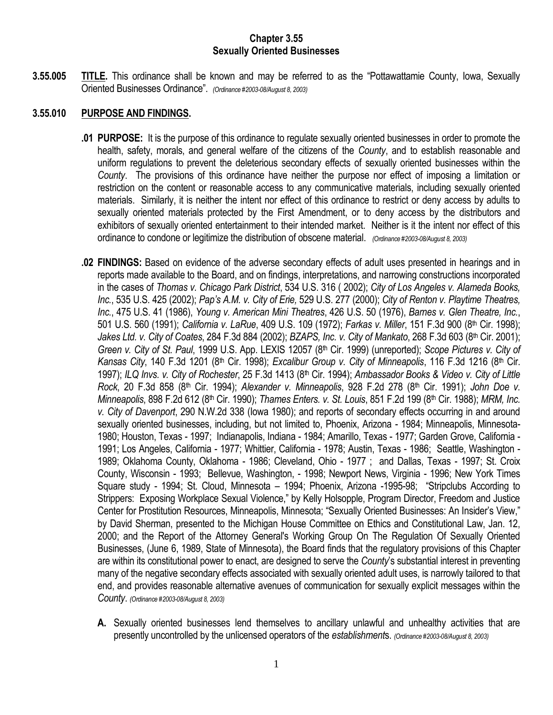## **Chapter 3.55 Sexually Oriented Businesses**

**3.55.005 TITLE.** This ordinance shall be known and may be referred to as the "Pottawattamie County, Iowa, Sexually Oriented Businesses Ordinance". *(Ordinance #2003-08/August 8, 2003)*

# **3.55.010 PURPOSE AND FINDINGS.**

- **.01 PURPOSE:** It is the purpose of this ordinance to regulate sexually oriented businesses in order to promote the health, safety, morals, and general welfare of the citizens of the *County*, and to establish reasonable and uniform regulations to prevent the deleterious secondary effects of sexually oriented businesses within the *County*. The provisions of this ordinance have neither the purpose nor effect of imposing a limitation or restriction on the content or reasonable access to any communicative materials, including sexually oriented materials. Similarly, it is neither the intent nor effect of this ordinance to restrict or deny access by adults to sexually oriented materials protected by the First Amendment, or to deny access by the distributors and exhibitors of sexually oriented entertainment to their intended market. Neither is it the intent nor effect of this ordinance to condone or legitimize the distribution of obscene material. *(Ordinance #2003-08/August 8, 2003)*
- **.02 FINDINGS:** Based on evidence of the adverse secondary effects of adult uses presented in hearings and in reports made available to the Board, and on findings, interpretations, and narrowing constructions incorporated in the cases of *Thomas v. Chicago Park District*, 534 U.S. 316 ( 2002); *City of Los Angeles v. Alameda Books, Inc.*, 535 U.S. 425 (2002); *Pap's A.M. v. City of Erie,* 529 U.S. 277 (2000); *City of Renton v. Playtime Theatres, Inc.*, 475 U.S. 41 (1986), *Young v. American Mini Theatres*, 426 U.S. 50 (1976), *Barnes v. Glen Theatre, Inc.*, 501 U.S. 560 (1991); *California v. LaRue*, 409 U.S. 109 (1972); *Farkas v. Miller*, 151 F.3d 900 (8th Cir. 1998); *Jakes Ltd. v. City of Coates*, 284 F.3d 884 (2002); *BZAPS, Inc. v. City of Mankato*, 268 F.3d 603 (8th Cir. 2001); *Green v. City of St. Paul*, 1999 U.S. App. LEXIS 12057 (8th Cir. 1999) (unreported); *Scope Pictures v. City of*  Kansas City, 140 F.3d 1201 (8<sup>th</sup> Cir. 1998); *Excalibur Group v. City of Minneapolis*, 116 F.3d 1216 (8<sup>th</sup> Cir. 1997); *ILQ Invs. v. City of Rochester*, 25 F.3d 1413 (8th Cir. 1994); *Ambassador Books & Video v. City of Little Rock*, 20 F.3d 858 (8th Cir. 1994); *Alexander v. Minneapolis*, 928 F.2d 278 (8th Cir. 1991); *John Doe v. Minneapolis*, 898 F.2d 612 (8th Cir. 1990); *Thames Enters. v. St. Louis*, 851 F.2d 199 (8th Cir. 1988); *MRM, Inc. v. City of Davenport*, 290 N.W.2d 338 (Iowa 1980); and reports of secondary effects occurring in and around sexually oriented businesses, including, but not limited to, Phoenix, Arizona - 1984; Minneapolis, Minnesota-1980; Houston, Texas - 1997; Indianapolis, Indiana - 1984; Amarillo, Texas - 1977; Garden Grove, California - 1991; Los Angeles, California - 1977; Whittier, California - 1978; Austin, Texas - 1986; Seattle, Washington - 1989; Oklahoma County, Oklahoma - 1986; Cleveland, Ohio - 1977 ; and Dallas, Texas - 1997; St. Croix County, Wisconsin - 1993; Bellevue, Washington, - 1998; Newport News, Virginia - 1996; New York Times Square study - 1994; St. Cloud, Minnesota – 1994; Phoenix, Arizona -1995-98; "Stripclubs According to Strippers: Exposing Workplace Sexual Violence," by Kelly Holsopple, Program Director, Freedom and Justice Center for Prostitution Resources, Minneapolis, Minnesota; "Sexually Oriented Businesses: An Insider's View," by David Sherman, presented to the Michigan House Committee on Ethics and Constitutional Law, Jan. 12, 2000; and the Report of the Attorney General's Working Group On The Regulation Of Sexually Oriented Businesses, (June 6, 1989, State of Minnesota), the Board finds that the regulatory provisions of this Chapter are within its constitutional power to enact, are designed to serve the *County*'s substantial interest in preventing many of the negative secondary effects associated with sexually oriented adult uses, is narrowly tailored to that end, and provides reasonable alternative avenues of communication for sexually explicit messages within the *County*. *(Ordinance #2003-08/August 8, 2003)*
	- **A.** Sexually oriented businesses lend themselves to ancillary unlawful and unhealthy activities that are presently uncontrolled by the unlicensed operators of the *establishment*s. *(Ordinance #2003-08/August 8, 2003)*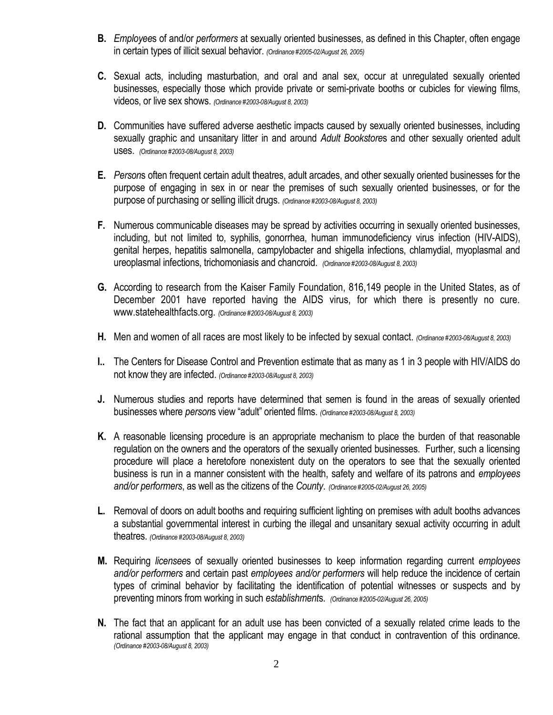- **B.** *Employee*s of and/or *performers* at sexually oriented businesses, as defined in this Chapter, often engage in certain types of illicit sexual behavior. *(Ordinance #2005-02/August 26, 2005)*
- **C.** Sexual acts, including masturbation, and oral and anal sex, occur at unregulated sexually oriented businesses, especially those which provide private or semi-private booths or cubicles for viewing films, videos, or live sex shows. *(Ordinance #2003-08/August 8, 2003)*
- **D.** Communities have suffered adverse aesthetic impacts caused by sexually oriented businesses, including sexually graphic and unsanitary litter in and around *Adult Bookstore*s and other sexually oriented adult uses. *(Ordinance #2003-08/August 8, 2003)*
- **E.** *Person*s often frequent certain adult theatres, adult arcades, and other sexually oriented businesses for the purpose of engaging in sex in or near the premises of such sexually oriented businesses, or for the purpose of purchasing or selling illicit drugs. *(Ordinance #2003-08/August 8, 2003)*
- **F.** Numerous communicable diseases may be spread by activities occurring in sexually oriented businesses, including, but not limited to, syphilis, gonorrhea, human immunodeficiency virus infection (HIV-AIDS), genital herpes, hepatitis salmonella, campylobacter and shigella infections, chlamydial, myoplasmal and ureoplasmal infections, trichomoniasis and chancroid. *(Ordinance #2003-08/August 8, 2003)*
- **G.** According to research from the Kaiser Family Foundation, 816,149 people in the United States, as of December 2001 have reported having the AIDS virus, for which there is presently no cure. www.statehealthfacts.org. *(Ordinance #2003-08/August 8, 2003)*
- **H.** Men and women of all races are most likely to be infected by sexual contact. *(Ordinance #2003-08/August 8, 2003)*
- **I..** The Centers for Disease Control and Prevention estimate that as many as 1 in 3 people with HIV/AIDS do not know they are infected. *(Ordinance #2003-08/August 8, 2003)*
- **J.** Numerous studies and reports have determined that semen is found in the areas of sexually oriented businesses where *person*s view "adult" oriented films. *(Ordinance #2003-08/August 8, 2003)*
- **K.** A reasonable licensing procedure is an appropriate mechanism to place the burden of that reasonable regulation on the owners and the operators of the sexually oriented businesses. Further, such a licensing procedure will place a heretofore nonexistent duty on the operators to see that the sexually oriented business is run in a manner consistent with the health, safety and welfare of its patrons and *employees and/or performers*, as well as the citizens of the *County*. *(Ordinance #2005-02/August 26, 2005)*
- **L.** Removal of doors on adult booths and requiring sufficient lighting on premises with adult booths advances a substantial governmental interest in curbing the illegal and unsanitary sexual activity occurring in adult theatres. *(Ordinance #2003-08/August 8, 2003)*
- **M.** Requiring *licensee*s of sexually oriented businesses to keep information regarding current *employees and/or performers* and certain past *employees and/or performers* will help reduce the incidence of certain types of criminal behavior by facilitating the identification of potential witnesses or suspects and by preventing minors from working in such *establishment*s. *(Ordinance #2005-02/August 26, 2005)*
- **N.** The fact that an applicant for an adult use has been convicted of a sexually related crime leads to the rational assumption that the applicant may engage in that conduct in contravention of this ordinance. *(Ordinance #2003-08/August 8, 2003)*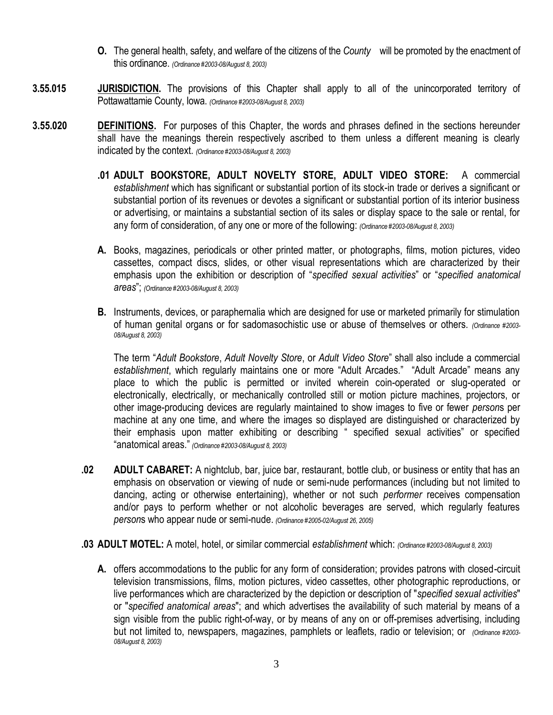- **O.** The general health, safety, and welfare of the citizens of the *County* will be promoted by the enactment of this ordinance. *(Ordinance #2003-08/August 8, 2003)*
- **3.55.015 JURISDICTION.** The provisions of this Chapter shall apply to all of the unincorporated territory of Pottawattamie County, Iowa. *(Ordinance #2003-08/August 8, 2003)*
- **3.55.020 DEFINITIONS.** For purposes of this Chapter, the words and phrases defined in the sections hereunder shall have the meanings therein respectively ascribed to them unless a different meaning is clearly indicated by the context. *(Ordinance #2003-08/August 8, 2003)*
	- **.01 ADULT BOOKSTORE, ADULT NOVELTY STORE, ADULT VIDEO STORE:** A commercial *establishment* which has significant or substantial portion of its stock-in trade or derives a significant or substantial portion of its revenues or devotes a significant or substantial portion of its interior business or advertising, or maintains a substantial section of its sales or display space to the sale or rental, for any form of consideration, of any one or more of the following: *(Ordinance #2003-08/August 8, 2003)*
	- **A.** Books, magazines, periodicals or other printed matter, or photographs, films, motion pictures, video cassettes, compact discs, slides, or other visual representations which are characterized by their emphasis upon the exhibition or description of "*specified sexual activities*" or "*specified anatomical areas*"; *(Ordinance #2003-08/August 8, 2003)*
	- **B.** Instruments, devices, or paraphernalia which are designed for use or marketed primarily for stimulation of human genital organs or for sadomasochistic use or abuse of themselves or others. *(Ordinance #2003- 08/August 8, 2003)*

The term "*Adult Bookstore*, *Adult Novelty Store*, or *Adult Video Store*" shall also include a commercial *establishment*, which regularly maintains one or more "Adult Arcades." "Adult Arcade" means any place to which the public is permitted or invited wherein coin-operated or slug-operated or electronically, electrically, or mechanically controlled still or motion picture machines, projectors, or other image-producing devices are regularly maintained to show images to five or fewer *person*s per machine at any one time, and where the images so displayed are distinguished or characterized by their emphasis upon matter exhibiting or describing " specified sexual activities" or specified "anatomical areas." *(Ordinance #2003-08/August 8, 2003)*

- **.02 ADULT CABARET:** A nightclub, bar, juice bar, restaurant, bottle club, or business or entity that has an emphasis on observation or viewing of nude or semi-nude performances (including but not limited to dancing, acting or otherwise entertaining), whether or not such *performer* receives compensation and/or pays to perform whether or not alcoholic beverages are served, which regularly features *person*s who appear nude or semi-nude. *(Ordinance #2005-02/August 26, 2005)*
- **.03 ADULT MOTEL:** A motel, hotel, or similar commercial *establishment* which: *(Ordinance #2003-08/August 8, 2003)*
	- **A.** offers accommodations to the public for any form of consideration; provides patrons with closed-circuit television transmissions, films, motion pictures, video cassettes, other photographic reproductions, or live performances which are characterized by the depiction or description of "*specified sexual activities*" or "*specified anatomical areas*"; and which advertises the availability of such material by means of a sign visible from the public right-of-way, or by means of any on or off-premises advertising, including but not limited to, newspapers, magazines, pamphlets or leaflets, radio or television; or *(Ordinance #2003- 08/August 8, 2003)*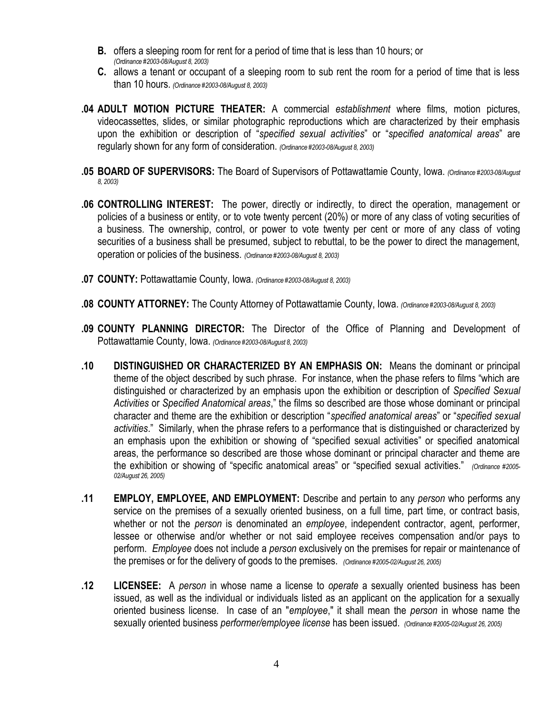- **B.** offers a sleeping room for rent for a period of time that is less than 10 hours; or *(Ordinance #2003-08/August 8, 2003)*
- **C.** allows a tenant or occupant of a sleeping room to sub rent the room for a period of time that is less than 10 hours. *(Ordinance #2003-08/August 8, 2003)*
- **.04 ADULT MOTION PICTURE THEATER:** A commercial *establishment* where films, motion pictures, videocassettes, slides, or similar photographic reproductions which are characterized by their emphasis upon the exhibition or description of "*specified sexual activities*" or "*specified anatomical areas*" are regularly shown for any form of consideration. *(Ordinance #2003-08/August 8, 2003)*
- **.05 BOARD OF SUPERVISORS:** The Board of Supervisors of Pottawattamie County, Iowa. *(Ordinance #2003-08/August 8, 2003)*
- **.06 CONTROLLING INTEREST:** The power, directly or indirectly, to direct the operation, management or policies of a business or entity, or to vote twenty percent (20%) or more of any class of voting securities of a business. The ownership, control, or power to vote twenty per cent or more of any class of voting securities of a business shall be presumed, subject to rebuttal, to be the power to direct the management, operation or policies of the business. *(Ordinance #2003-08/August 8, 2003)*
- **.07 COUNTY:** Pottawattamie County, Iowa. *(Ordinance #2003-08/August 8, 2003)*
- **.08 COUNTY ATTORNEY:** The County Attorney of Pottawattamie County, Iowa. *(Ordinance #2003-08/August 8, 2003)*
- **.09 COUNTY PLANNING DIRECTOR:** The Director of the Office of Planning and Development of Pottawattamie County, Iowa. *(Ordinance #2003-08/August 8, 2003)*
- **.10 DISTINGUISHED OR CHARACTERIZED BY AN EMPHASIS ON:** Means the dominant or principal theme of the object described by such phrase. For instance, when the phase refers to films "which are distinguished or characterized by an emphasis upon the exhibition or description of *Specified Sexual Activities* or *Specified Anatomical areas*," the films so described are those whose dominant or principal character and theme are the exhibition or description "*specified anatomical areas*" or "*specified sexual activities*." Similarly, when the phrase refers to a performance that is distinguished or characterized by an emphasis upon the exhibition or showing of "specified sexual activities" or specified anatomical areas, the performance so described are those whose dominant or principal character and theme are the exhibition or showing of "specific anatomical areas" or "specified sexual activities." *(Ordinance #2005- 02/August 26, 2005)*
- **.11 EMPLOY, EMPLOYEE, AND EMPLOYMENT:** Describe and pertain to any *person* who performs any service on the premises of a sexually oriented business, on a full time, part time, or contract basis, whether or not the *person* is denominated an *employee*, independent contractor, agent, performer, lessee or otherwise and/or whether or not said employee receives compensation and/or pays to perform. *Employee* does not include a *person* exclusively on the premises for repair or maintenance of the premises or for the delivery of goods to the premises. *(Ordinance #2005-02/August 26, 2005)*
- **.12 LICENSEE:** A *person* in whose name a license to *operate* a sexually oriented business has been issued, as well as the individual or individuals listed as an applicant on the application for a sexually oriented business license. In case of an "*employee*," it shall mean the *person* in whose name the sexually oriented business *performer/employee license* has been issued. *(Ordinance #2005-02/August 26, 2005)*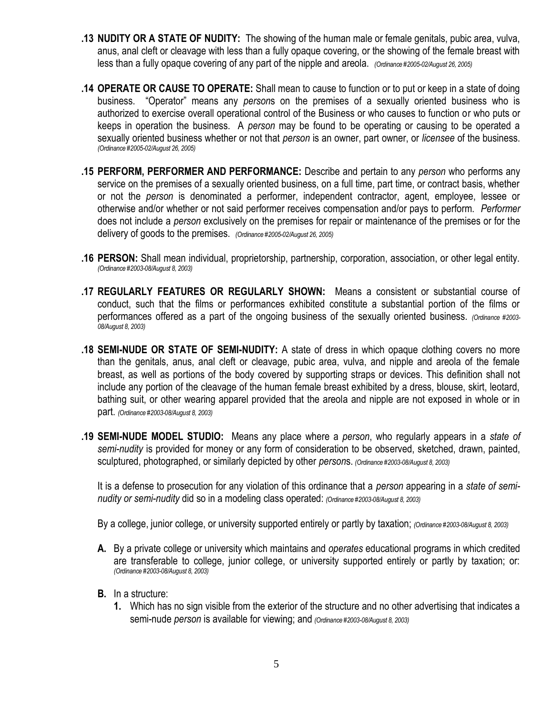- **.13 NUDITY OR A STATE OF NUDITY:** The showing of the human male or female genitals, pubic area, vulva, anus, anal cleft or cleavage with less than a fully opaque covering, or the showing of the female breast with less than a fully opaque covering of any part of the nipple and areola. *(Ordinance #2005-02/August 26, 2005)*
- **.14 OPERATE OR CAUSE TO OPERATE:** Shall mean to cause to function or to put or keep in a state of doing business. "Operator" means any *person*s on the premises of a sexually oriented business who is authorized to exercise overall operational control of the Business or who causes to function or who puts or keeps in operation the business. A *person* may be found to be operating or causing to be operated a sexually oriented business whether or not that *person* is an owner, part owner, or *licensee* of the business. *(Ordinance #2005-02/August 26, 2005)*
- **.15 PERFORM, PERFORMER AND PERFORMANCE:** Describe and pertain to any *person* who performs any service on the premises of a sexually oriented business, on a full time, part time, or contract basis, whether or not the *person* is denominated a performer, independent contractor, agent, employee, lessee or otherwise and/or whether or not said performer receives compensation and/or pays to perform. *Performer* does not include a *person* exclusively on the premises for repair or maintenance of the premises or for the delivery of goods to the premises. *(Ordinance #2005-02/August 26, 2005)*
- **.16 PERSON:** Shall mean individual, proprietorship, partnership, corporation, association, or other legal entity. *(Ordinance #2003-08/August 8, 2003)*
- **.17 REGULARLY FEATURES OR REGULARLY SHOWN:** Means a consistent or substantial course of conduct, such that the films or performances exhibited constitute a substantial portion of the films or performances offered as a part of the ongoing business of the sexually oriented business. *(Ordinance #2003- 08/August 8, 2003)*
- **.18 SEMI-NUDE OR STATE OF SEMI-NUDITY:** A state of dress in which opaque clothing covers no more than the genitals, anus, anal cleft or cleavage, pubic area, vulva, and nipple and areola of the female breast, as well as portions of the body covered by supporting straps or devices. This definition shall not include any portion of the cleavage of the human female breast exhibited by a dress, blouse, skirt, leotard, bathing suit, or other wearing apparel provided that the areola and nipple are not exposed in whole or in part. *(Ordinance #2003-08/August 8, 2003)*
- **.19 SEMI-NUDE MODEL STUDIO:** Means any place where a *person*, who regularly appears in a *state of semi-nudity* is provided for money or any form of consideration to be observed, sketched, drawn, painted, sculptured, photographed, or similarly depicted by other *person*s. *(Ordinance #2003-08/August 8, 2003)*

It is a defense to prosecution for any violation of this ordinance that a *person* appearing in a *state of seminudity or semi-nudity* did so in a modeling class operated: *(Ordinance #2003-08/August 8, 2003)*

By a college, junior college, or university supported entirely or partly by taxation; *(Ordinance #2003-08/August 8, 2003)*

- **A.** By a private college or university which maintains and *operates* educational programs in which credited are transferable to college, junior college, or university supported entirely or partly by taxation; or: *(Ordinance #2003-08/August 8, 2003)*
- **B.** In a structure:
	- **1.** Which has no sign visible from the exterior of the structure and no other advertising that indicates a semi-nude *person* is available for viewing; and *(Ordinance #2003-08/August 8, 2003)*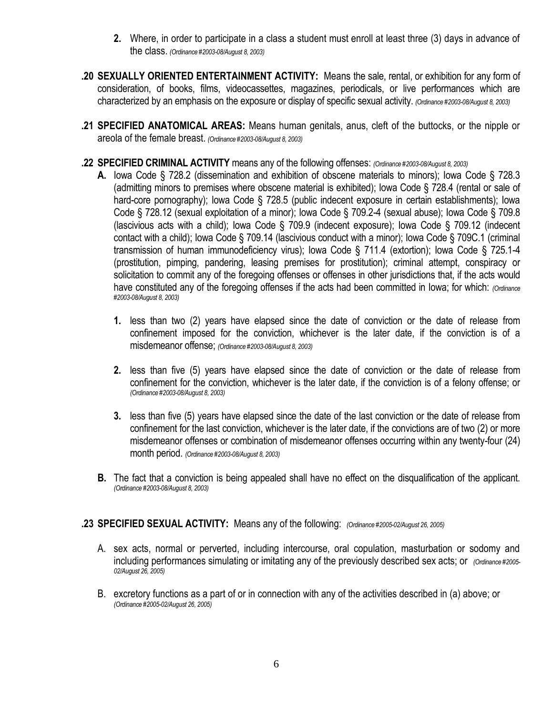- **2.** Where, in order to participate in a class a student must enroll at least three (3) days in advance of the class. *(Ordinance #2003-08/August 8, 2003)*
- **.20 SEXUALLY ORIENTED ENTERTAINMENT ACTIVITY:** Means the sale, rental, or exhibition for any form of consideration, of books, films, videocassettes, magazines, periodicals, or live performances which are characterized by an emphasis on the exposure or display of specific sexual activity. *(Ordinance #2003-08/August 8, 2003)*
- **.21 SPECIFIED ANATOMICAL AREAS:** Means human genitals, anus, cleft of the buttocks, or the nipple or areola of the female breast. *(Ordinance #2003-08/August 8, 2003)*
- **.22 SPECIFIED CRIMINAL ACTIVITY** means any of the following offenses: *(Ordinance #2003-08/August 8, 2003)*
	- **A.** Iowa Code § 728.2 (dissemination and exhibition of obscene materials to minors); Iowa Code § 728.3 (admitting minors to premises where obscene material is exhibited); Iowa Code § 728.4 (rental or sale of hard-core pornography); Iowa Code § 728.5 (public indecent exposure in certain establishments); Iowa Code § 728.12 (sexual exploitation of a minor); Iowa Code § 709.2-4 (sexual abuse); Iowa Code § 709.8 (lascivious acts with a child); Iowa Code § 709.9 (indecent exposure); Iowa Code § 709.12 (indecent contact with a child); Iowa Code § 709.14 (lascivious conduct with a minor); Iowa Code § 709C.1 (criminal transmission of human immunodeficiency virus); Iowa Code § 711.4 (extortion); Iowa Code § 725.1-4 (prostitution, pimping, pandering, leasing premises for prostitution); criminal attempt, conspiracy or solicitation to commit any of the foregoing offenses or offenses in other jurisdictions that, if the acts would have constituted any of the foregoing offenses if the acts had been committed in Iowa; for which: *(Ordinance #2003-08/August 8, 2003)*
		- **1.** less than two (2) years have elapsed since the date of conviction or the date of release from confinement imposed for the conviction, whichever is the later date, if the conviction is of a misdemeanor offense; *(Ordinance #2003-08/August 8, 2003)*
		- **2.** less than five (5) years have elapsed since the date of conviction or the date of release from confinement for the conviction, whichever is the later date, if the conviction is of a felony offense; or *(Ordinance #2003-08/August 8, 2003)*
		- **3.** less than five (5) years have elapsed since the date of the last conviction or the date of release from confinement for the last conviction, whichever is the later date, if the convictions are of two (2) or more misdemeanor offenses or combination of misdemeanor offenses occurring within any twenty-four (24) month period. *(Ordinance #2003-08/August 8, 2003)*
	- **B.** The fact that a conviction is being appealed shall have no effect on the disqualification of the applicant. *(Ordinance #2003-08/August 8, 2003)*

## **.23 SPECIFIED SEXUAL ACTIVITY:** Means any of the following: *(Ordinance #2005-02/August 26, 2005)*

- A. sex acts, normal or perverted, including intercourse, oral copulation, masturbation or sodomy and including performances simulating or imitating any of the previously described sex acts; or *(Ordinance #2005- 02/August 26, 2005)*
- B. excretory functions as a part of or in connection with any of the activities described in (a) above; or *(Ordinance #2005-02/August 26, 2005)*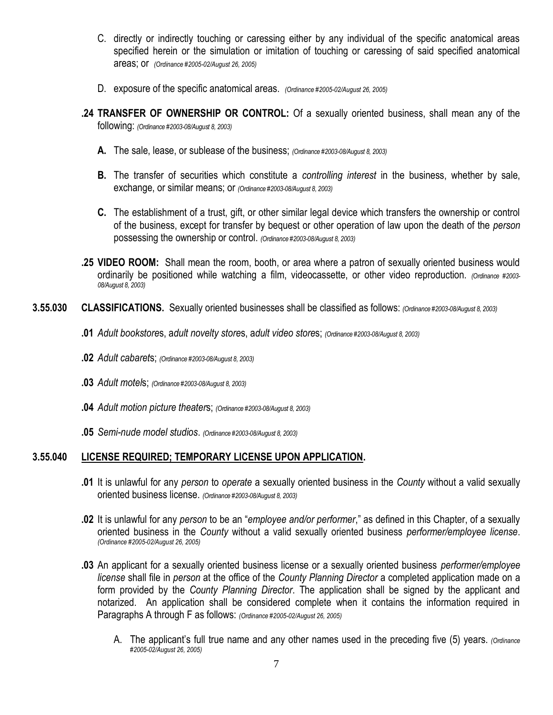- C. directly or indirectly touching or caressing either by any individual of the specific anatomical areas specified herein or the simulation or imitation of touching or caressing of said specified anatomical areas; or *(Ordinance #2005-02/August 26, 2005)*
- D. exposure of the specific anatomical areas. *(Ordinance #2005-02/August 26, 2005)*
- **.24 TRANSFER OF OWNERSHIP OR CONTROL:** Of a sexually oriented business, shall mean any of the following: *(Ordinance #2003-08/August 8, 2003)*
	- **A.** The sale, lease, or sublease of the business; *(Ordinance #2003-08/August 8, 2003)*
	- **B.** The transfer of securities which constitute a *controlling interest* in the business, whether by sale, exchange, or similar means; or *(Ordinance #2003-08/August 8, 2003)*
	- **C.** The establishment of a trust, gift, or other similar legal device which transfers the ownership or control of the business, except for transfer by bequest or other operation of law upon the death of the *person* possessing the ownership or control. *(Ordinance #2003-08/August 8, 2003)*
- **.25 VIDEO ROOM:** Shall mean the room, booth, or area where a patron of sexually oriented business would ordinarily be positioned while watching a film, videocassette, or other video reproduction. *(Ordinance #2003- 08/August 8, 2003)*
- **3.55.030 CLASSIFICATIONS.** Sexually oriented businesses shall be classified as follows: *(Ordinance #2003-08/August 8, 2003)*
	- **.01** *Adult bookstore*s, a*dult novelty store*s, a*dult video store*s; *(Ordinance #2003-08/August 8, 2003)*
	- **.02** *Adult cabaret*s; *(Ordinance #2003-08/August 8, 2003)*
	- **.03** *Adult motel*s; *(Ordinance #2003-08/August 8, 2003)*
	- **.04** *Adult motion picture theater*s; *(Ordinance #2003-08/August 8, 2003)*
	- **.05** *Semi-nude model studios*. *(Ordinance #2003-08/August 8, 2003)*

## **3.55.040 LICENSE REQUIRED; TEMPORARY LICENSE UPON APPLICATION.**

- **.01** It is unlawful for any *person* to *operate* a sexually oriented business in the *County* without a valid sexually oriented business license. *(Ordinance #2003-08/August 8, 2003)*
- **.02** It is unlawful for any *person* to be an "*employee and/or performer*," as defined in this Chapter, of a sexually oriented business in the *County* without a valid sexually oriented business *performer/employee license*. *(Ordinance #2005-02/August 26, 2005)*
- **.03** An applicant for a sexually oriented business license or a sexually oriented business *performer/employee license* shall file in *person* at the office of the *County Planning Director* a completed application made on a form provided by the *County Planning Director*. The application shall be signed by the applicant and notarized. An application shall be considered complete when it contains the information required in Paragraphs A through F as follows: *(Ordinance #2005-02/August 26, 2005)*
	- A. The applicant's full true name and any other names used in the preceding five (5) years. *(Ordinance #2005-02/August 26, 2005)*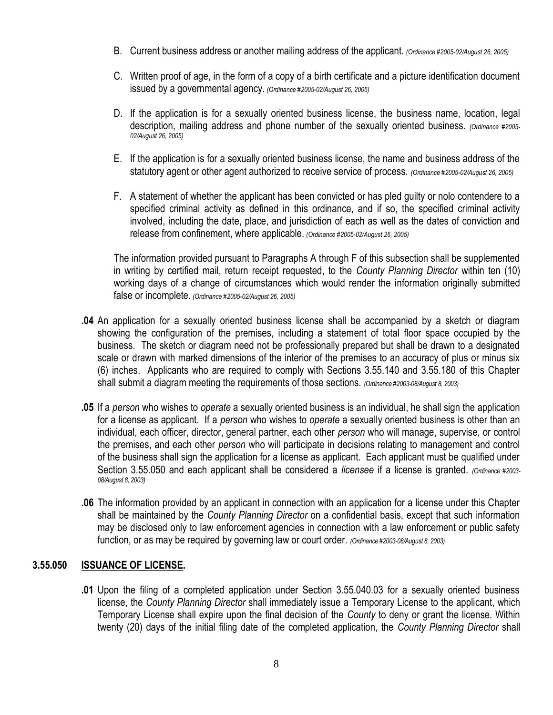- B. Current business address or another mailing address of the applicant. *(Ordinance #2005-02/August 26, 2005)*
- C. Written proof of age, in the form of a copy of a birth certificate and a picture identification document issued by a governmental agency. *(Ordinance #2005-02/August 26, 2005)*
- D. If the application is for a sexually oriented business license, the business name, location, legal description, mailing address and phone number of the sexually oriented business. *(Ordinance #2005- 02/August 26, 2005)*
- E. If the application is for a sexually oriented business license, the name and business address of the statutory agent or other agent authorized to receive service of process. *(Ordinance #2005-02/August 26, 2005)*
- F. A statement of whether the applicant has been convicted or has pled guilty or nolo contendere to a specified criminal activity as defined in this ordinance, and if so, the specified criminal activity involved, including the date, place, and jurisdiction of each as well as the dates of conviction and release from confinement, where applicable. *(Ordinance #2005-02/August 26, 2005)*

The information provided pursuant to Paragraphs A through F of this subsection shall be supplemented in writing by certified mail, return receipt requested, to the *County Planning Director* within ten (10) working days of a change of circumstances which would render the information originally submitted false or incomplete. *(Ordinance #2005-02/August 26, 2005)*

- **.04** An application for a sexually oriented business license shall be accompanied by a sketch or diagram showing the configuration of the premises, including a statement of total floor space occupied by the business. The sketch or diagram need not be professionally prepared but shall be drawn to a designated scale or drawn with marked dimensions of the interior of the premises to an accuracy of plus or minus six (6) inches. Applicants who are required to comply with Sections 3.55.140 and 3.55.180 of this Chapter shall submit a diagram meeting the requirements of those sections. *(Ordinance #2003-08/August 8, 2003)*
- **.05** If a *person* who wishes to *operate* a sexually oriented business is an individual, he shall sign the application for a license as applicant. If a *person* who wishes to *operate* a sexually oriented business is other than an individual, each officer, director, general partner, each other *person* who will manage, supervise, or control the premises, and each other *person* who will participate in decisions relating to management and control of the business shall sign the application for a license as applicant. Each applicant must be qualified under Section 3.55.050 and each applicant shall be considered a *licensee* if a license is granted. *(Ordinance #2003- 08/August 8, 2003)*
- **.06** The information provided by an applicant in connection with an application for a license under this Chapter shall be maintained by the *County Planning Director* on a confidential basis, except that such information may be disclosed only to law enforcement agencies in connection with a law enforcement or public safety function, or as may be required by governing law or court order. *(Ordinance #2003-08/August 8, 2003)*

## **3.55.050 ISSUANCE OF LICENSE.**

**.01** Upon the filing of a completed application under Section 3.55.040.03 for a sexually oriented business license, the *County Planning Director* shall immediately issue a Temporary License to the applicant, which Temporary License shall expire upon the final decision of the *County* to deny or grant the license. Within twenty (20) days of the initial filing date of the completed application, the *County Planning Director* shall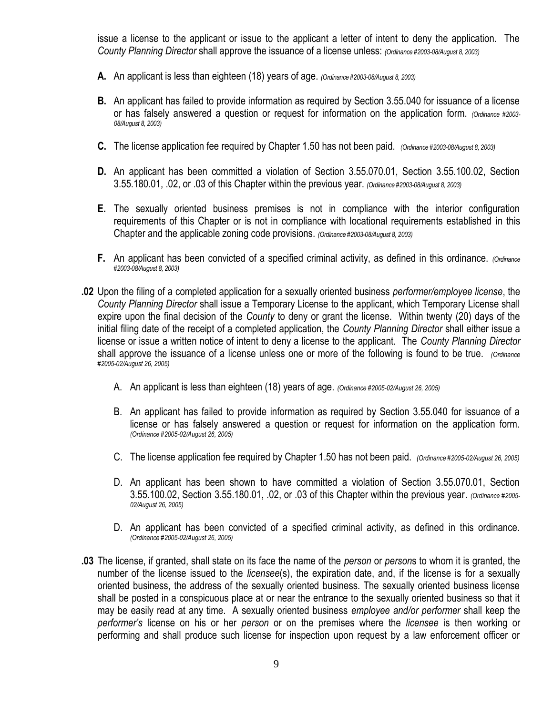issue a license to the applicant or issue to the applicant a letter of intent to deny the application. The *County Planning Director* shall approve the issuance of a license unless: *(Ordinance #2003-08/August 8, 2003)*

- **A.** An applicant is less than eighteen (18) years of age. *(Ordinance #2003-08/August 8, 2003)*
- **B.** An applicant has failed to provide information as required by Section 3.55.040 for issuance of a license or has falsely answered a question or request for information on the application form. *(Ordinance #2003- 08/August 8, 2003)*
- **C.** The license application fee required by Chapter 1.50 has not been paid. *(Ordinance #2003-08/August 8, 2003)*
- **D.** An applicant has been committed a violation of Section 3.55.070.01, Section 3.55.100.02, Section 3.55.180.01, .02, or .03 of this Chapter within the previous year. *(Ordinance #2003-08/August 8, 2003)*
- **E.** The sexually oriented business premises is not in compliance with the interior configuration requirements of this Chapter or is not in compliance with locational requirements established in this Chapter and the applicable zoning code provisions. *(Ordinance #2003-08/August 8, 2003)*
- **F.** An applicant has been convicted of a specified criminal activity, as defined in this ordinance. *(Ordinance #2003-08/August 8, 2003)*
- **.02** Upon the filing of a completed application for a sexually oriented business *performer/employee license*, the *County Planning Director* shall issue a Temporary License to the applicant, which Temporary License shall expire upon the final decision of the *County* to deny or grant the license. Within twenty (20) days of the initial filing date of the receipt of a completed application, the *County Planning Director* shall either issue a license or issue a written notice of intent to deny a license to the applicant. The *County Planning Director*  shall approve the issuance of a license unless one or more of the following is found to be true. *(Ordinance #2005-02/August 26, 2005)*
	- A. An applicant is less than eighteen (18) years of age. *(Ordinance #2005-02/August 26, 2005)*
	- B. An applicant has failed to provide information as required by Section 3.55.040 for issuance of a license or has falsely answered a question or request for information on the application form. *(Ordinance #2005-02/August 26, 2005)*
	- C. The license application fee required by Chapter 1.50 has not been paid. *(Ordinance #2005-02/August 26, 2005)*
	- D. An applicant has been shown to have committed a violation of Section 3.55.070.01, Section 3.55.100.02, Section 3.55.180.01, .02, or .03 of this Chapter within the previous year. *(Ordinance #2005- 02/August 26, 2005)*
	- D. An applicant has been convicted of a specified criminal activity, as defined in this ordinance. *(Ordinance #2005-02/August 26, 2005)*
- **.03** The license, if granted, shall state on its face the name of the *person* or *person*s to whom it is granted, the number of the license issued to the *licensee*(s), the expiration date, and, if the license is for a sexually oriented business, the address of the sexually oriented business. The sexually oriented business license shall be posted in a conspicuous place at or near the entrance to the sexually oriented business so that it may be easily read at any time. A sexually oriented business *employee and/or performer* shall keep the *performer's* license on his or her *person* or on the premises where the *licensee* is then working or performing and shall produce such license for inspection upon request by a law enforcement officer or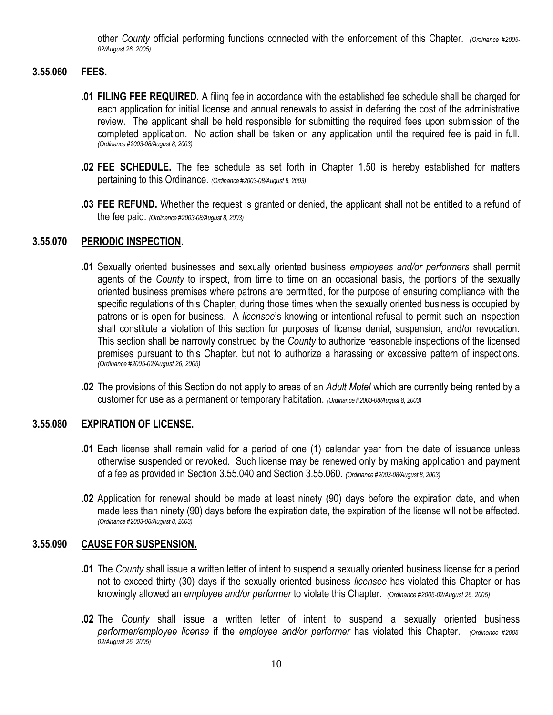other *County* official performing functions connected with the enforcement of this Chapter. *(Ordinance #2005- 02/August 26, 2005)*

# **3.55.060 FEES.**

- **.01 FILING FEE REQUIRED.** A filing fee in accordance with the established fee schedule shall be charged for each application for initial license and annual renewals to assist in deferring the cost of the administrative review. The applicant shall be held responsible for submitting the required fees upon submission of the completed application. No action shall be taken on any application until the required fee is paid in full. *(Ordinance #2003-08/August 8, 2003)*
- **.02 FEE SCHEDULE.** The fee schedule as set forth in Chapter 1.50 is hereby established for matters pertaining to this Ordinance. *(Ordinance #2003-08/August 8, 2003)*
- **.03 FEE REFUND.** Whether the request is granted or denied, the applicant shall not be entitled to a refund of the fee paid. *(Ordinance #2003-08/August 8, 2003)*

### **3.55.070 PERIODIC INSPECTION.**

- **.01** Sexually oriented businesses and sexually oriented business *employees and/or performers* shall permit agents of the *County* to inspect, from time to time on an occasional basis, the portions of the sexually oriented business premises where patrons are permitted, for the purpose of ensuring compliance with the specific regulations of this Chapter, during those times when the sexually oriented business is occupied by patrons or is open for business. A *licensee*'s knowing or intentional refusal to permit such an inspection shall constitute a violation of this section for purposes of license denial, suspension, and/or revocation. This section shall be narrowly construed by the *County* to authorize reasonable inspections of the licensed premises pursuant to this Chapter, but not to authorize a harassing or excessive pattern of inspections. *(Ordinance #2005-02/August 26, 2005)*
- **.02** The provisions of this Section do not apply to areas of an *Adult Motel* which are currently being rented by a customer for use as a permanent or temporary habitation. *(Ordinance #2003-08/August 8, 2003)*

## **3.55.080 EXPIRATION OF LICENSE.**

- **.01** Each license shall remain valid for a period of one (1) calendar year from the date of issuance unless otherwise suspended or revoked. Such license may be renewed only by making application and payment of a fee as provided in Section 3.55.040 and Section 3.55.060. *(Ordinance #2003-08/August 8, 2003)*
- **.02** Application for renewal should be made at least ninety (90) days before the expiration date, and when made less than ninety (90) days before the expiration date, the expiration of the license will not be affected. *(Ordinance #2003-08/August 8, 2003)*

#### **3.55.090 CAUSE FOR SUSPENSION.**

- **.01** The *County* shall issue a written letter of intent to suspend a sexually oriented business license for a period not to exceed thirty (30) days if the sexually oriented business *licensee* has violated this Chapter or has knowingly allowed an *employee and/or performer* to violate this Chapter. *(Ordinance #2005-02/August 26, 2005)*
- **.02** The *County* shall issue a written letter of intent to suspend a sexually oriented business *performer/employee license* if the *employee and/or performer* has violated this Chapter. *(Ordinance #2005- 02/August 26, 2005)*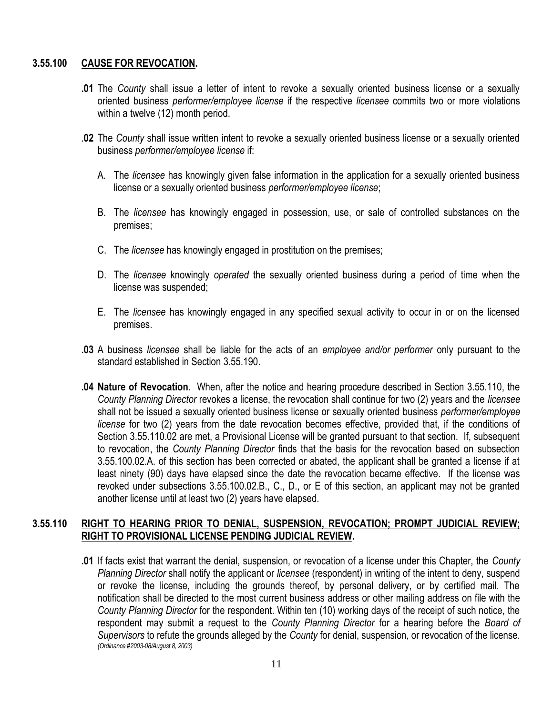## **3.55.100 CAUSE FOR REVOCATION.**

- **.01** The *County* shall issue a letter of intent to revoke a sexually oriented business license or a sexually oriented business *performer/employee license* if the respective *licensee* commits two or more violations within a twelve (12) month period.
- .**02** The *County* shall issue written intent to revoke a sexually oriented business license or a sexually oriented business *performer/employee license* if:
	- A. The *licensee* has knowingly given false information in the application for a sexually oriented business license or a sexually oriented business *performer/employee license*;
	- B. The *licensee* has knowingly engaged in possession, use, or sale of controlled substances on the premises;
	- C. The *licensee* has knowingly engaged in prostitution on the premises;
	- D. The *licensee* knowingly *operated* the sexually oriented business during a period of time when the license was suspended;
	- E. The *licensee* has knowingly engaged in any specified sexual activity to occur in or on the licensed premises.
- **.03** A business *licensee* shall be liable for the acts of an *employee and/or performer* only pursuant to the standard established in Section 3.55.190.
- **.04 Nature of Revocation**. When, after the notice and hearing procedure described in Section 3.55.110, the *County Planning Director* revokes a license, the revocation shall continue for two (2) years and the *licensee* shall not be issued a sexually oriented business license or sexually oriented business *performer/employee license* for two (2) years from the date revocation becomes effective, provided that, if the conditions of Section 3.55.110.02 are met, a Provisional License will be granted pursuant to that section. If, subsequent to revocation, the *County Planning Director* finds that the basis for the revocation based on subsection 3.55.100.02.A. of this section has been corrected or abated, the applicant shall be granted a license if at least ninety (90) days have elapsed since the date the revocation became effective. If the license was revoked under subsections 3.55.100.02.B., C., D., or E of this section, an applicant may not be granted another license until at least two (2) years have elapsed.

### **3.55.110 RIGHT TO HEARING PRIOR TO DENIAL, SUSPENSION, REVOCATION; PROMPT JUDICIAL REVIEW; RIGHT TO PROVISIONAL LICENSE PENDING JUDICIAL REVIEW.**

**.01** If facts exist that warrant the denial, suspension, or revocation of a license under this Chapter, the *County Planning Director* shall notify the applicant or *licensee* (respondent) in writing of the intent to deny, suspend or revoke the license, including the grounds thereof, by personal delivery, or by certified mail. The notification shall be directed to the most current business address or other mailing address on file with the *County Planning Director* for the respondent. Within ten (10) working days of the receipt of such notice, the respondent may submit a request to the *County Planning Director* for a hearing before the *Board of Supervisors* to refute the grounds alleged by the *County* for denial, suspension, or revocation of the license. *(Ordinance #2003-08/August 8, 2003)*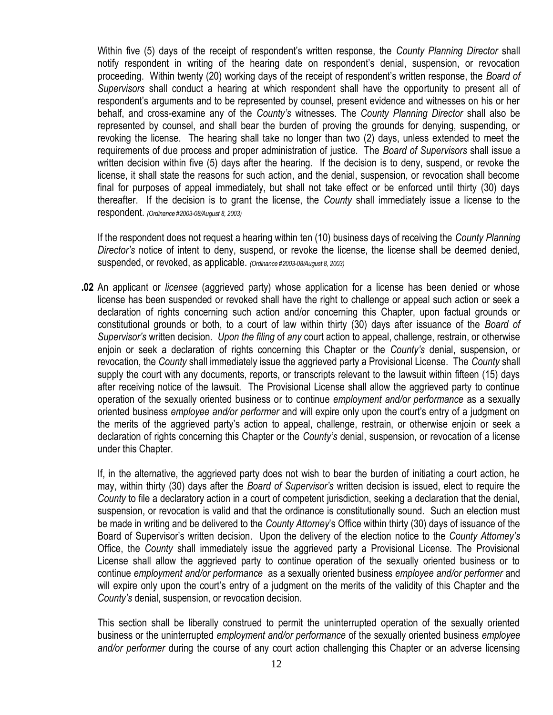Within five (5) days of the receipt of respondent's written response, the *County Planning Director* shall notify respondent in writing of the hearing date on respondent's denial, suspension, or revocation proceeding. Within twenty (20) working days of the receipt of respondent's written response, the *Board of Supervisors* shall conduct a hearing at which respondent shall have the opportunity to present all of respondent's arguments and to be represented by counsel, present evidence and witnesses on his or her behalf, and cross-examine any of the *County's* witnesses. The *County Planning Director* shall also be represented by counsel, and shall bear the burden of proving the grounds for denying, suspending, or revoking the license. The hearing shall take no longer than two (2) days, unless extended to meet the requirements of due process and proper administration of justice. The *Board of Supervisors* shall issue a written decision within five (5) days after the hearing. If the decision is to deny, suspend, or revoke the license, it shall state the reasons for such action, and the denial, suspension, or revocation shall become final for purposes of appeal immediately, but shall not take effect or be enforced until thirty (30) days thereafter. If the decision is to grant the license, the *County* shall immediately issue a license to the respondent. *(Ordinance #2003-08/August 8, 2003)*

If the respondent does not request a hearing within ten (10) business days of receiving the *County Planning Director's* notice of intent to deny, suspend, or revoke the license, the license shall be deemed denied, suspended, or revoked, as applicable. *(Ordinance #2003-08/August 8, 2003)*

**.02** An applicant or *licensee* (aggrieved party) whose application for a license has been denied or whose license has been suspended or revoked shall have the right to challenge or appeal such action or seek a declaration of rights concerning such action and/or concerning this Chapter, upon factual grounds or constitutional grounds or both, to a court of law within thirty (30) days after issuance of the *Board of Supervisor's* written decision. *Upon the filing* of *any* court action to appeal, challenge, restrain, or otherwise enjoin or seek a declaration of rights concerning this Chapter or the *County's* denial, suspension, or revocation, the *County* shall immediately issue the aggrieved party a Provisional License. The *County* shall supply the court with any documents, reports, or transcripts relevant to the lawsuit within fifteen (15) days after receiving notice of the lawsuit. The Provisional License shall allow the aggrieved party to continue operation of the sexually oriented business or to continue *employment and/or performance* as a sexually oriented business *employee and/or performer* and will expire only upon the court's entry of a judgment on the merits of the aggrieved party's action to appeal, challenge, restrain, or otherwise enjoin or seek a declaration of rights concerning this Chapter or the *County's* denial, suspension, or revocation of a license under this Chapter.

If, in the alternative, the aggrieved party does not wish to bear the burden of initiating a court action, he may, within thirty (30) days after the *Board of Supervisor's* written decision is issued, elect to require the *County* to file a declaratory action in a court of competent jurisdiction, seeking a declaration that the denial, suspension, or revocation is valid and that the ordinance is constitutionally sound. Such an election must be made in writing and be delivered to the *County Attorney*'s Office within thirty (30) days of issuance of the Board of Supervisor's written decision. Upon the delivery of the election notice to the *County Attorney's*  Office, the *County* shall immediately issue the aggrieved party a Provisional License. The Provisional License shall allow the aggrieved party to continue operation of the sexually oriented business or to continue *employment and/or performance* as a sexually oriented business *employee and/or performer* and will expire only upon the court's entry of a judgment on the merits of the validity of this Chapter and the *County's* denial, suspension, or revocation decision.

This section shall be liberally construed to permit the uninterrupted operation of the sexually oriented business or the uninterrupted *employment and/or performance* of the sexually oriented business *employee and/or performer* during the course of any court action challenging this Chapter or an adverse licensing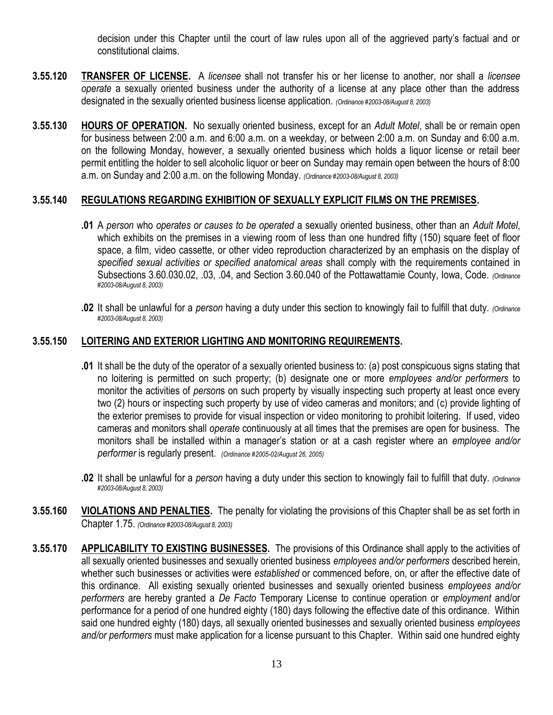decision under this Chapter until the court of law rules upon all of the aggrieved party's factual and or constitutional claims.

- **3.55.120 TRANSFER OF LICENSE.** A *licensee* shall not transfer his or her license to another, nor shall a *licensee operate* a sexually oriented business under the authority of a license at any place other than the address designated in the sexually oriented business license application. *(Ordinance #2003-08/August 8, 2003)*
- **3.55.130 HOURS OF OPERATION.** No sexually oriented business, except for an *Adult Motel*, shall be or remain open for business between 2:00 a.m. and 6:00 a.m. on a weekday, or between 2:00 a.m. on Sunday and 6:00 a.m. on the following Monday, however, a sexually oriented business which holds a liquor license or retail beer permit entitling the holder to sell alcoholic liquor or beer on Sunday may remain open between the hours of 8:00 a.m. on Sunday and 2:00 a.m. on the following Monday. *(Ordinance #2003-08/August 8, 2003)*

## **3.55.140 REGULATIONS REGARDING EXHIBITION OF SEXUALLY EXPLICIT FILMS ON THE PREMISES.**

- **.01** A *person* who *operates or causes to be operated* a sexually oriented business, other than an *Adult Motel*, which exhibits on the premises in a viewing room of less than one hundred fifty (150) square feet of floor space, a film, video cassette, or other video reproduction characterized by an emphasis on the display of *specified sexual activities or specified anatomical areas* shall comply with the requirements contained in Subsections 3.60.030.02, .03, .04, and Section 3.60.040 of the Pottawattamie County, Iowa, Code. *(Ordinance #2003-08/August 8, 2003)*
- **.02** It shall be unlawful for a *person* having a duty under this section to knowingly fail to fulfill that duty. *(Ordinance #2003-08/August 8, 2003)*

#### **3.55.150 LOITERING AND EXTERIOR LIGHTING AND MONITORING REQUIREMENTS.**

- **.01** It shall be the duty of the operator of a sexually oriented business to: (a) post conspicuous signs stating that no loitering is permitted on such property; (b) designate one or more *employees and/or performers* to monitor the activities of *person*s on such property by visually inspecting such property at least once every two (2) hours or inspecting such property by use of video cameras and monitors; and (c) provide lighting of the exterior premises to provide for visual inspection or video monitoring to prohibit loitering. If used, video cameras and monitors shall *operate* continuously at all times that the premises are open for business. The monitors shall be installed within a manager's station or at a cash register where an *employee and/or performer* is regularly present. *(Ordinance #2005-02/August 26, 2005)*
- **.02** It shall be unlawful for a *person* having a duty under this section to knowingly fail to fulfill that duty. *(Ordinance #2003-08/August 8, 2003)*
- **3.55.160 VIOLATIONS AND PENALTIES.** The penalty for violating the provisions of this Chapter shall be as set forth in Chapter 1.75. *(Ordinance #2003-08/August 8, 2003)*
- **3.55.170 APPLICABILITY TO EXISTING BUSINESSES.** The provisions of this Ordinance shall apply to the activities of all sexually oriented businesses and sexually oriented business *employees and/or performers* described herein, whether such businesses or activities were *established* or commenced before, on, or after the effective date of this ordinance. All existing sexually oriented businesses and sexually oriented business *employees and/or performers* are hereby granted a *De Facto* Temporary License to continue operation or *employment* and/or performance for a period of one hundred eighty (180) days following the effective date of this ordinance. Within said one hundred eighty (180) days, all sexually oriented businesses and sexually oriented business *employees and/or performers* must make application for a license pursuant to this Chapter. Within said one hundred eighty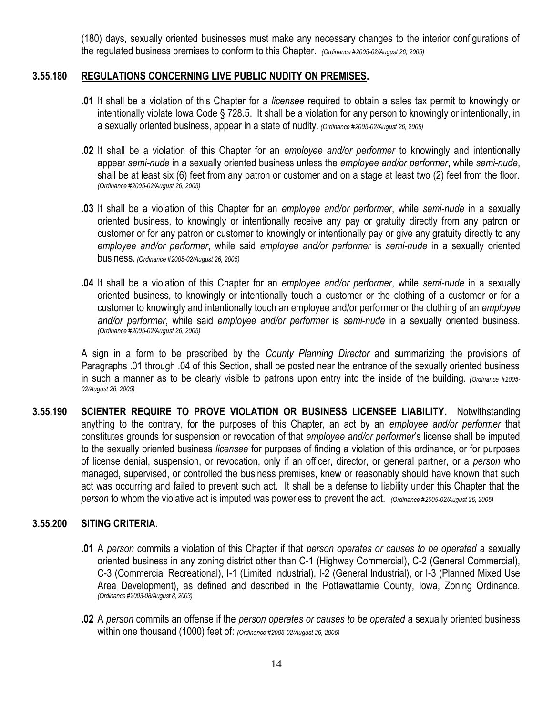(180) days, sexually oriented businesses must make any necessary changes to the interior configurations of the regulated business premises to conform to this Chapter. *(Ordinance #2005-02/August 26, 2005)*

### **3.55.180 REGULATIONS CONCERNING LIVE PUBLIC NUDITY ON PREMISES.**

- **.01** It shall be a violation of this Chapter for a *licensee* required to obtain a sales tax permit to knowingly or intentionally violate Iowa Code § 728.5. It shall be a violation for any person to knowingly or intentionally, in a sexually oriented business, appear in a state of nudity. *(Ordinance #2005-02/August 26, 2005)*
- **.02** It shall be a violation of this Chapter for an *employee and/or performer* to knowingly and intentionally appear *semi-nude* in a sexually oriented business unless the *employee and/or performer*, while *semi-nude*, shall be at least six (6) feet from any patron or customer and on a stage at least two (2) feet from the floor. *(Ordinance #2005-02/August 26, 2005)*
- **.03** It shall be a violation of this Chapter for an *employee and/or performer*, while *semi-nude* in a sexually oriented business, to knowingly or intentionally receive any pay or gratuity directly from any patron or customer or for any patron or customer to knowingly or intentionally pay or give any gratuity directly to any *employee and/or performer*, while said *employee and/or performer* is *semi-nude* in a sexually oriented business. *(Ordinance #2005-02/August 26, 2005)*
- **.04** It shall be a violation of this Chapter for an *employee and/or performer*, while *semi-nude* in a sexually oriented business, to knowingly or intentionally touch a customer or the clothing of a customer or for a customer to knowingly and intentionally touch an employee and/or performer or the clothing of an *employee and/or performer*, while said *employee and/or performer* is *semi-nude* in a sexually oriented business. *(Ordinance #2005-02/August 26, 2005)*

A sign in a form to be prescribed by the *County Planning Director* and summarizing the provisions of Paragraphs .01 through .04 of this Section, shall be posted near the entrance of the sexually oriented business in such a manner as to be clearly visible to patrons upon entry into the inside of the building. *(Ordinance #2005- 02/August 26, 2005)*

**3.55.190 SCIENTER REQUIRE TO PROVE VIOLATION OR BUSINESS LICENSEE LIABILITY.** Notwithstanding anything to the contrary, for the purposes of this Chapter, an act by an *employee and/or performer* that constitutes grounds for suspension or revocation of that *employee and/or performer*'s license shall be imputed to the sexually oriented business *licensee* for purposes of finding a violation of this ordinance, or for purposes of license denial, suspension, or revocation, only if an officer, director, or general partner, or a *person* who managed, supervised, or controlled the business premises, knew or reasonably should have known that such act was occurring and failed to prevent such act. It shall be a defense to liability under this Chapter that the *person* to whom the violative act is imputed was powerless to prevent the act. *(Ordinance #2005-02/August 26, 2005)*

## **3.55.200 SITING CRITERIA.**

- **.01** A *person* commits a violation of this Chapter if that *person operates or causes to be operated* a sexually oriented business in any zoning district other than C-1 (Highway Commercial), C-2 (General Commercial), C-3 (Commercial Recreational), I-1 (Limited Industrial), I-2 (General Industrial), or I-3 (Planned Mixed Use Area Development), as defined and described in the Pottawattamie County, Iowa, Zoning Ordinance. *(Ordinance #2003-08/August 8, 2003)*
- **.02** A *person* commits an offense if the *person operates or causes to be operated* a sexually oriented business within one thousand (1000) feet of: *(Ordinance #2005-02/August 26, 2005)*